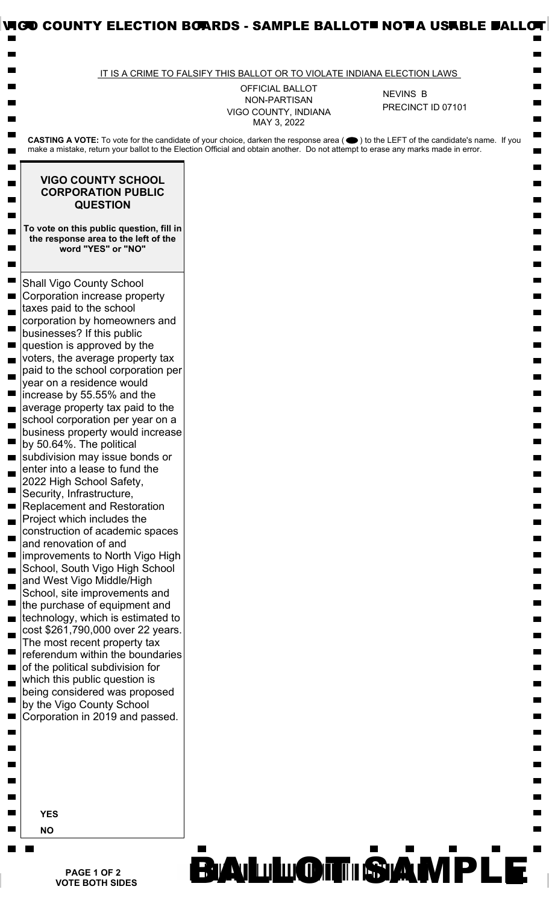|                                                                                                                                                                                                                                                                        | IT IS A CRIME TO FALSIFY THIS BALLOT OR TO VIOLATE INDIANA ELECTION LAWS |                   |
|------------------------------------------------------------------------------------------------------------------------------------------------------------------------------------------------------------------------------------------------------------------------|--------------------------------------------------------------------------|-------------------|
|                                                                                                                                                                                                                                                                        | <b>OFFICIAL BALLOT</b>                                                   | <b>NEVINS B</b>   |
|                                                                                                                                                                                                                                                                        | NON-PARTISAN<br>VIGO COUNTY, INDIANA<br>MAY 3, 2022                      | PRECINCT ID 07101 |
| CASTING A VOTE: To vote for the candidate of your choice, darken the response area (●) to the LEFT of the candidate's name. If you<br>make a mistake, return your ballot to the Election Official and obtain another. Do not attempt to erase any marks made in error. |                                                                          |                   |
| <b>VIGO COUNTY SCHOOL</b><br><b>CORPORATION PUBLIC</b><br><b>QUESTION</b>                                                                                                                                                                                              |                                                                          |                   |
| To vote on this public question, fill in<br>the response area to the left of the<br>word "YES" or "NO"                                                                                                                                                                 |                                                                          |                   |
| <b>Shall Vigo County School</b><br>Corporation increase property<br>taxes paid to the school<br>corporation by homeowners and<br>businesses? If this public<br>question is approved by the                                                                             |                                                                          |                   |
| voters, the average property tax<br>paid to the school corporation per<br>year on a residence would<br>increase by 55.55% and the                                                                                                                                      |                                                                          |                   |
| average property tax paid to the<br>school corporation per year on a<br>business property would increase<br>by 50.64%. The political<br>subdivision may issue bonds or<br>enter into a lease to fund the                                                               |                                                                          |                   |
| 2022 High School Safety,<br>Security, Infrastructure,<br><b>Replacement and Restoration</b><br>Project which includes the<br>construction of academic spaces<br>and renovation of and                                                                                  |                                                                          |                   |
| improvements to North Vigo High<br>School, South Vigo High School<br>and West Vigo Middle/High<br>School, site improvements and<br>the purchase of equipment and                                                                                                       |                                                                          |                   |
| technology, which is estimated to<br>cost \$261,790,000 over 22 years.<br>The most recent property tax<br>referendum within the boundaries                                                                                                                             |                                                                          |                   |
| of the political subdivision for<br>which this public question is<br>being considered was proposed<br>by the Vigo County School                                                                                                                                        |                                                                          |                   |
| Corporation in 2019 and passed.                                                                                                                                                                                                                                        |                                                                          |                   |
| <b>YES</b>                                                                                                                                                                                                                                                             |                                                                          |                   |
| <b>NO</b>                                                                                                                                                                                                                                                              |                                                                          |                   |